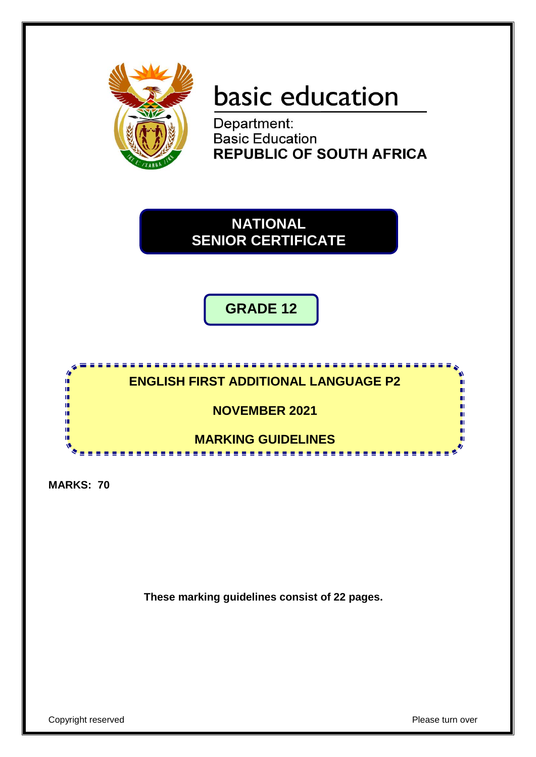

# basic education

Department: **Basic Education REPUBLIC OF SOUTH AFRICA** 

**NATIONAL SENIOR CERTIFICATE**

**GRADE 12**



**MARKS: 70**

**These marking guidelines consist of 22 pages.**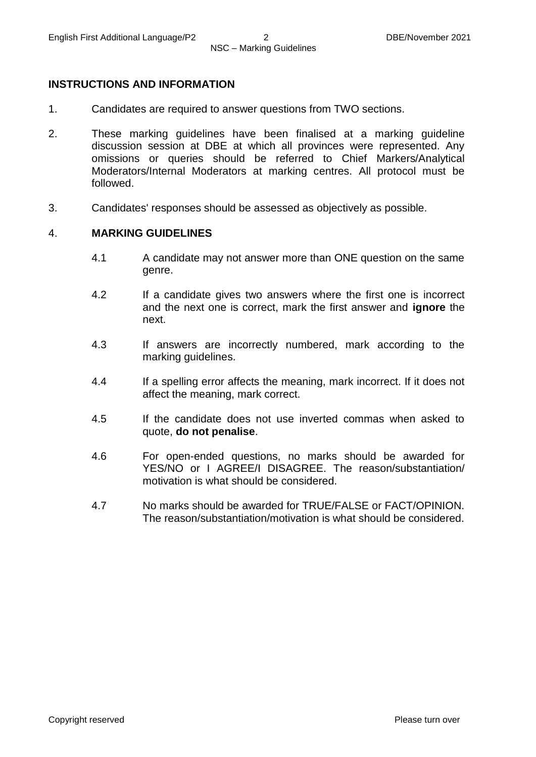#### **INSTRUCTIONS AND INFORMATION**

- 1. Candidates are required to answer questions from TWO sections.
- 2. These marking guidelines have been finalised at a marking guideline discussion session at DBE at which all provinces were represented. Any omissions or queries should be referred to Chief Markers/Analytical Moderators/Internal Moderators at marking centres. All protocol must be followed.
- 3. Candidates' responses should be assessed as objectively as possible.

#### 4. **MARKING GUIDELINES**

- 4.1 A candidate may not answer more than ONE question on the same genre.
- 4.2 If a candidate gives two answers where the first one is incorrect and the next one is correct, mark the first answer and **ignore** the next.
- 4.3 If answers are incorrectly numbered, mark according to the marking guidelines.
- 4.4 If a spelling error affects the meaning, mark incorrect. If it does not affect the meaning, mark correct.
- 4.5 If the candidate does not use inverted commas when asked to quote, **do not penalise**.
- 4.6 For open-ended questions, no marks should be awarded for YES/NO or I AGREE/I DISAGREE. The reason/substantiation/ motivation is what should be considered.
- 4.7 No marks should be awarded for TRUE/FALSE or FACT/OPINION. The reason/substantiation/motivation is what should be considered.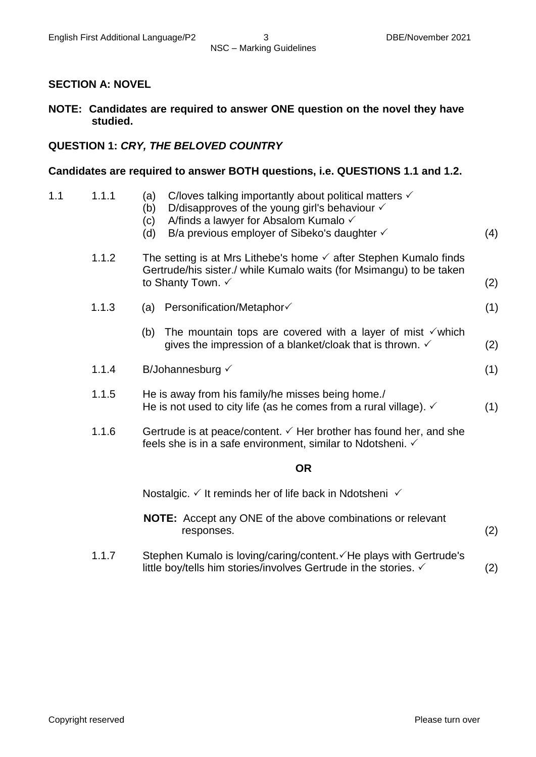#### **SECTION A: NOVEL**

#### **NOTE: Candidates are required to answer ONE question on the novel they have studied.**

#### **QUESTION 1:** *CRY, THE BELOVED COUNTRY*

#### **Candidates are required to answer BOTH questions, i.e. QUESTIONS 1.1 and 1.2.**

| 1.1 | 1.1.1 | C/loves talking importantly about political matters $\checkmark$<br>(a)<br>D/disapproves of the young girl's behaviour $\checkmark$<br>(b)<br>A/finds a lawyer for Absalom Kumalo √<br>(c)<br>B/a previous employer of Sibeko's daughter $\checkmark$<br>(d) | (4) |
|-----|-------|--------------------------------------------------------------------------------------------------------------------------------------------------------------------------------------------------------------------------------------------------------------|-----|
|     | 1.1.2 | The setting is at Mrs Lithebe's home $\checkmark$ after Stephen Kumalo finds<br>Gertrude/his sister./ while Kumalo waits (for Msimangu) to be taken<br>to Shanty Town. ✓                                                                                     | (2) |
|     | 1.1.3 | (a) Personification/Metaphor                                                                                                                                                                                                                                 | (1) |
|     |       | The mountain tops are covered with a layer of mist $\checkmark$ which<br>(b)<br>gives the impression of a blanket/cloak that is thrown. $\checkmark$                                                                                                         | (2) |
|     | 1.1.4 | B/Johannesburg $\checkmark$                                                                                                                                                                                                                                  | (1) |
|     | 1.1.5 | He is away from his family/he misses being home./<br>He is not used to city life (as he comes from a rural village). $\checkmark$                                                                                                                            | (1) |
|     | 1.1.6 | Gertrude is at peace/content. $\checkmark$ Her brother has found her, and she<br>feels she is in a safe environment, similar to Ndotsheni. ✓                                                                                                                 |     |
|     |       | <b>OR</b>                                                                                                                                                                                                                                                    |     |
|     |       | Nostalgic. $\checkmark$ It reminds her of life back in Ndotsheni $\checkmark$                                                                                                                                                                                |     |
|     |       | NOTE: Accept any ONE of the above combinations or relevant<br>responses.                                                                                                                                                                                     | (2) |
|     | 1.1.7 | Stephen Kumalo is loving/caring/content. ∕ He plays with Gertrude's<br>little boy/tells him stories/involves Gertrude in the stories. $\checkmark$                                                                                                           | (2) |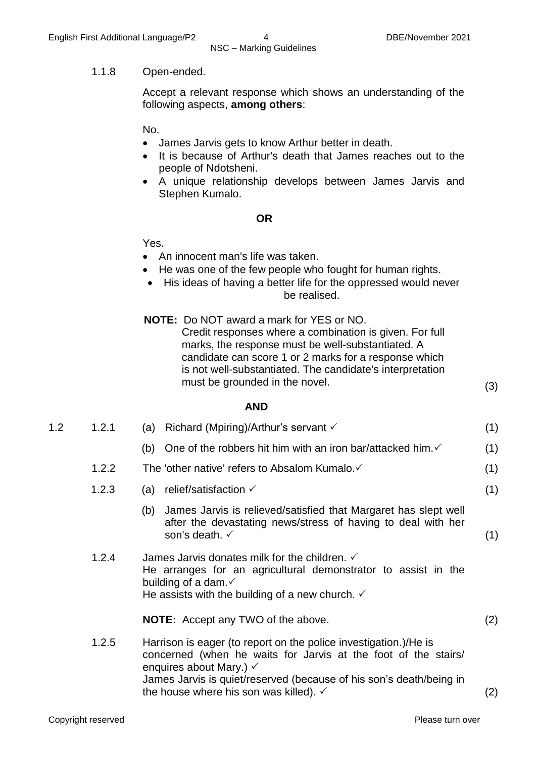#### 1.1.8 Open-ended.

Accept a relevant response which shows an understanding of the following aspects, **among others**:

No.

- James Jarvis gets to know Arthur better in death.
- It is because of Arthur's death that James reaches out to the people of Ndotsheni.
- A unique relationship develops between James Jarvis and Stephen Kumalo.

#### **OR**

Yes.

- An innocent man's life was taken.
- He was one of the few people who fought for human rights.
- His ideas of having a better life for the oppressed would never be realised.
- **NOTE:** Do NOT award a mark for YES or NO. Credit responses where a combination is given. For full marks, the response must be well-substantiated. A candidate can score 1 or 2 marks for a response which is not well-substantiated. The candidate's interpretation must be grounded in the novel. (3)

#### **AND**

| 1.2 | 1.2.1 | Richard (Mpiring)/Arthur's servant $\checkmark$<br>(a)                                                                                                                                                                                          | (1) |
|-----|-------|-------------------------------------------------------------------------------------------------------------------------------------------------------------------------------------------------------------------------------------------------|-----|
|     |       | One of the robbers hit him with an iron bar/attacked him. √<br>(b)                                                                                                                                                                              | (1) |
|     | 1.2.2 | The 'other native' refers to Absalom Kumalo. √                                                                                                                                                                                                  | (1) |
|     | 1.2.3 | relief/satisfaction $\checkmark$<br>(a)                                                                                                                                                                                                         | (1) |
|     |       | James Jarvis is relieved/satisfied that Margaret has slept well<br>(b)<br>after the devastating news/stress of having to deal with her<br>son's death. $\checkmark$                                                                             | (1) |
|     | 1.2.4 | James Jarvis donates milk for the children. $\checkmark$<br>He arranges for an agricultural demonstrator to assist in the<br>building of a dam. $\checkmark$<br>He assists with the building of a new church. $\checkmark$                      |     |
|     |       | <b>NOTE:</b> Accept any TWO of the above.                                                                                                                                                                                                       | (2) |
|     | 1.2.5 | Harrison is eager (to report on the police investigation.)/He is<br>concerned (when he waits for Jarvis at the foot of the stairs/<br>enquires about Mary.) $\checkmark$<br>James Jarvis is quiet/reserved (because of his son's death/being in |     |
|     |       | the house where his son was killed). $\checkmark$                                                                                                                                                                                               | (2) |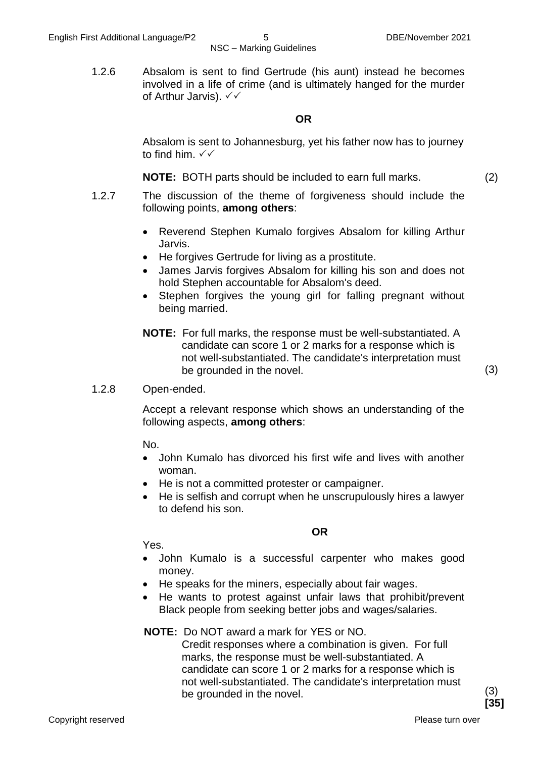1.2.6 Absalom is sent to find Gertrude (his aunt) instead he becomes involved in a life of crime (and is ultimately hanged for the murder of Arthur Jarvis).  $∨∨$ 

#### **OR**

Absalom is sent to Johannesburg, yet his father now has to journey to find him.  $\checkmark\checkmark$ 

**NOTE:** BOTH parts should be included to earn full marks. (2)

- 1.2.7 The discussion of the theme of forgiveness should include the following points, **among others**:
	- Reverend Stephen Kumalo forgives Absalom for killing Arthur Jarvis.
	- He forgives Gertrude for living as a prostitute.
	- James Jarvis forgives Absalom for killing his son and does not hold Stephen accountable for Absalom's deed.
	- Stephen forgives the young girl for falling pregnant without being married.
	- **NOTE:** For full marks, the response must be well-substantiated. A candidate can score 1 or 2 marks for a response which is not well-substantiated. The candidate's interpretation must be grounded in the novel. (3)

#### 1.2.8 Open-ended.

Accept a relevant response which shows an understanding of the following aspects, **among others**:

No.

- John Kumalo has divorced his first wife and lives with another woman.
- He is not a committed protester or campaigner.
- He is selfish and corrupt when he unscrupulously hires a lawyer to defend his son.

**OR**

Yes.

- John Kumalo is a successful carpenter who makes good money.
- He speaks for the miners, especially about fair wages.
- He wants to protest against unfair laws that prohibit/prevent Black people from seeking better jobs and wages/salaries.

#### **NOTE:** Do NOT award a mark for YES or NO.

Credit responses where a combination is given. For full marks, the response must be well-substantiated. A candidate can score 1 or 2 marks for a response which is not well-substantiated. The candidate's interpretation must be grounded in the novel. (3)

**[35]**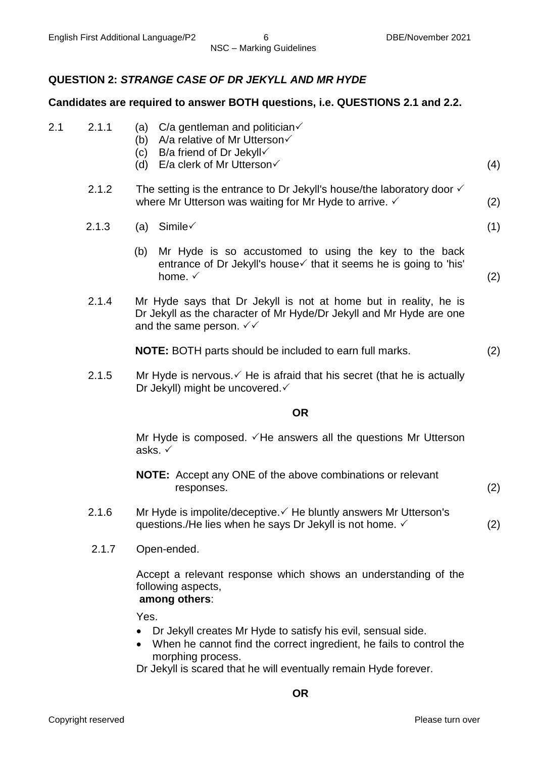#### **QUESTION 2:** *STRANGE CASE OF DR JEKYLL AND MR HYDE*

#### **Candidates are required to answer BOTH questions, i.e. QUESTIONS 2.1 and 2.2.**

| 2.1 | 2.1.1 |  |  | (a) $C/a$ gentleman and politician $\checkmark$ |
|-----|-------|--|--|-------------------------------------------------|
|-----|-------|--|--|-------------------------------------------------|

- (b) A/a relative of Mr Utterson√
- (c) B/a friend of Dr Jekyll
- (d) E/a clerk of Mr Utterson $\checkmark$  (4)

2.1.2 The setting is the entrance to Dr Jekyll's house/the laboratory door  $\checkmark$ where Mr Utterson was waiting for Mr Hyde to arrive.  $\checkmark$  (2)

- 2.1.3 (a) Simile  $\checkmark$  (1)
	-
	- (b) Mr Hyde is so accustomed to using the key to the back entrance of Dr Jekyll's house  $\checkmark$  that it seems he is going to 'his' home.  $\checkmark$  (2)
- 2.1.4 Mr Hyde says that Dr Jekyll is not at home but in reality, he is Dr Jekyll as the character of Mr Hyde/Dr Jekyll and Mr Hyde are one and the same person.  $\sqrt{6}$

**NOTE:** BOTH parts should be included to earn full marks. (2)

2.1.5 Mr Hyde is nervous.  $\checkmark$  He is afraid that his secret (that he is actually Dr Jekyll) might be uncovered. ✓

#### **OR**

Mr Hyde is composed.  $\sqrt{H}e$  answers all the questions Mr Utterson asks.

- **NOTE:** Accept any ONE of the above combinations or relevant responses. (2)
- 2.1.6 Mr Hyde is impolite/deceptive.  $\checkmark$  He bluntly answers Mr Utterson's questions./He lies when he says Dr Jekyll is not home.  $\checkmark$  (2)
- 2.1.7 Open-ended.

Accept a relevant response which shows an understanding of the following aspects, **among others**:

Yes.

- Dr Jekyll creates Mr Hyde to satisfy his evil, sensual side.
- When he cannot find the correct ingredient, he fails to control the morphing process.

Dr Jekyll is scared that he will eventually remain Hyde forever.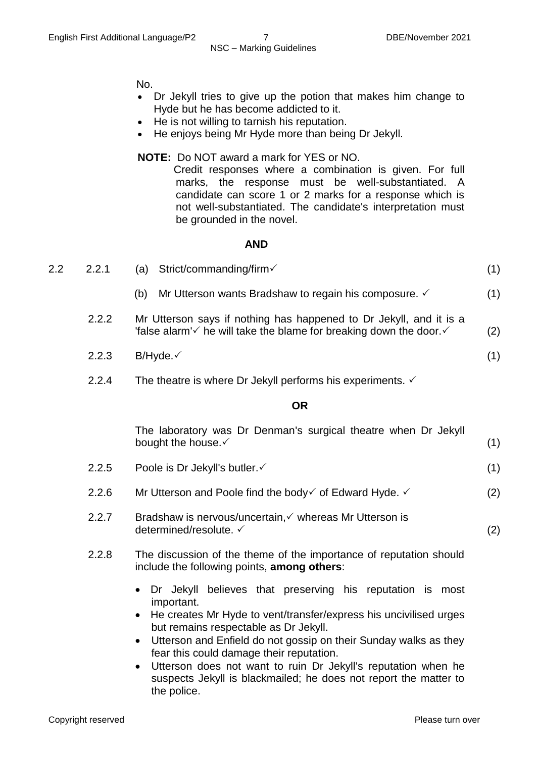No.

- Dr Jekyll tries to give up the potion that makes him change to Hyde but he has become addicted to it.
- He is not willing to tarnish his reputation.
- He enjoys being Mr Hyde more than being Dr Jekyll.

#### **NOTE:** Do NOT award a mark for YES or NO.

Credit responses where a combination is given. For full marks, the response must be well-substantiated. A candidate can score 1 or 2 marks for a response which is not well-substantiated. The candidate's interpretation must be grounded in the novel.

#### **AND**

| 2.2 | 2.2.1 | Strict/commanding/firm√<br>(a)                                                                                                                                   |     |
|-----|-------|------------------------------------------------------------------------------------------------------------------------------------------------------------------|-----|
|     |       | Mr Utterson wants Bradshaw to regain his composure. V<br>(b)                                                                                                     | (1) |
|     | 2.2.2 | Mr Utterson says if nothing has happened to Dr Jekyll, and it is a<br>'false alarm' $\checkmark$ he will take the blame for breaking down the door. $\checkmark$ | (2) |
|     | 2.2.3 | $B/H$ yde. $\checkmark$                                                                                                                                          | (1) |
|     | 2.2.4 | The theatre is where Dr Jekyll performs his experiments. $\checkmark$                                                                                            |     |

#### **OR**

|       | The laboratory was Dr Denman's surgical theatre when Dr Jekyll<br>bought the house. ✓                                                                                                                                                                                                                                                                                      | (1) |  |
|-------|----------------------------------------------------------------------------------------------------------------------------------------------------------------------------------------------------------------------------------------------------------------------------------------------------------------------------------------------------------------------------|-----|--|
| 2.2.5 | Poole is Dr Jekyll's butler. ✓                                                                                                                                                                                                                                                                                                                                             | (1) |  |
| 2.2.6 | Mr Utterson and Poole find the body $\checkmark$ of Edward Hyde. $\checkmark$                                                                                                                                                                                                                                                                                              | (2) |  |
| 2.2.7 | Bradshaw is nervous/uncertain, v whereas Mr Utterson is<br>determined/resolute. ✓                                                                                                                                                                                                                                                                                          | (2) |  |
| 2.2.8 | The discussion of the theme of the importance of reputation should<br>include the following points, among others:                                                                                                                                                                                                                                                          |     |  |
|       | Dr Jekyll believes that preserving his reputation is most<br>important.<br>• He creates Mr Hyde to vent/transfer/express his uncivilised urges<br>but remains respectable as Dr Jekyll.<br>• Utterson and Enfield do not gossip on their Sunday walks as they<br>fear this could damage their reputation.<br>Utterson does not want to ruin Dr Jekyll's reputation when he |     |  |

suspects Jekyll is blackmailed; he does not report the matter to

the police.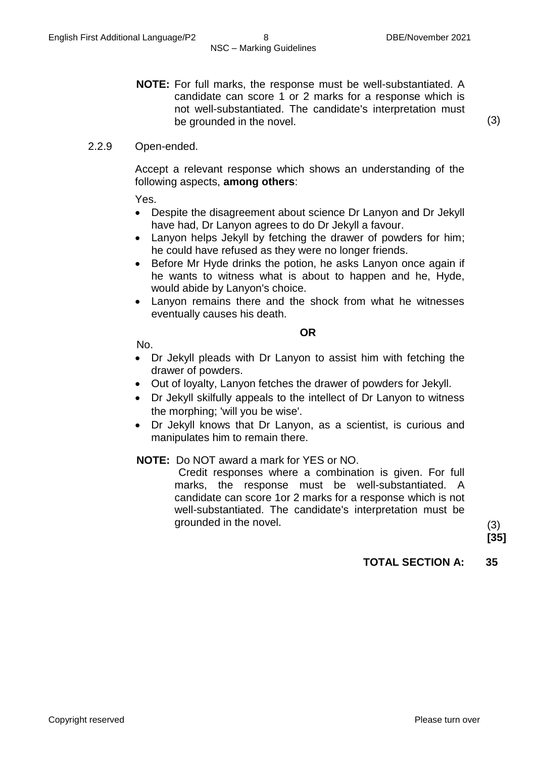**NOTE:** For full marks, the response must be well-substantiated. A candidate can score 1 or 2 marks for a response which is not well-substantiated. The candidate's interpretation must be grounded in the novel. (3)

2.2.9 Open-ended.

Accept a relevant response which shows an understanding of the following aspects, **among others**:

Yes.

- Despite the disagreement about science Dr Lanyon and Dr Jekyll have had, Dr Lanyon agrees to do Dr Jekyll a favour.
- Lanyon helps Jekyll by fetching the drawer of powders for him; he could have refused as they were no longer friends.
- Before Mr Hyde drinks the potion, he asks Lanyon once again if he wants to witness what is about to happen and he, Hyde, would abide by Lanyon's choice.
- Lanyon remains there and the shock from what he witnesses eventually causes his death.

**OR**

No.

- Dr Jekyll pleads with Dr Lanyon to assist him with fetching the drawer of powders.
- Out of loyalty, Lanyon fetches the drawer of powders for Jekyll.
- Dr Jekyll skilfully appeals to the intellect of Dr Lanyon to witness the morphing; 'will you be wise'.
- Dr Jekyll knows that Dr Lanyon, as a scientist, is curious and manipulates him to remain there.

#### **NOTE:** Do NOT award a mark for YES or NO.

Credit responses where a combination is given. For full marks, the response must be well-substantiated. A candidate can score 1or 2 marks for a response which is not well-substantiated. The candidate's interpretation must be grounded in the novel. (3)

**[35]**

#### **TOTAL SECTION A: 35**

Copyright reserved **Please turn over the Copyright reserved** Please turn over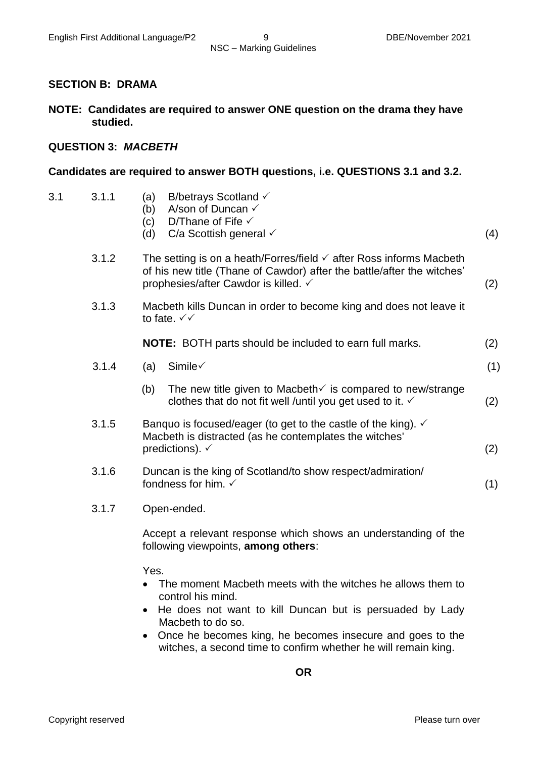#### **SECTION B: DRAMA**

**NOTE: Candidates are required to answer ONE question on the drama they have studied.**

#### **QUESTION 3:** *MACBETH*

#### **Candidates are required to answer BOTH questions, i.e. QUESTIONS 3.1 and 3.2.**

- 3.1 3.1.1 (a) (b) A/son of Duncan  $\checkmark$ (c) (d) C/a Scottish general (4) B/betrays Scotland  $\checkmark$ D/Thane of Fife  $\checkmark$ 3.1.2 The setting is on a heath/Forres/field  $\checkmark$  after Ross informs Macbeth of his new title (Thane of Cawdor) after the battle/after the witches' prophesies/after Cawdor is killed.  $\checkmark$  (2) 3.1.3 Macbeth kills Duncan in order to become king and does not leave it to fate.  $\sqrt{\sqrt{}}$ **NOTE:** BOTH parts should be included to earn full marks. (2)  $3.1.4$  (a) Simile (1) (b) The new title given to Macbeth is compared to new/strange
	- clothes that do not fit well /until you get used to it.  $\checkmark$  (2) 3.1.5 Banquo is focused/eager (to get to the castle of the king).  $\checkmark$ Macbeth is distracted (as he contemplates the witches'

predictions).  $\check{\phantom{a}}$  (2)

- 3.1.6 Duncan is the king of Scotland/to show respect/admiration/ fondness for him.  $\checkmark$  (1)
- 3.1.7 Open-ended.

Accept a relevant response which shows an understanding of the following viewpoints, **among others**:

Yes.

- The moment Macbeth meets with the witches he allows them to control his mind.
- He does not want to kill Duncan but is persuaded by Lady Macbeth to do so.
- Once he becomes king, he becomes insecure and goes to the witches, a second time to confirm whether he will remain king.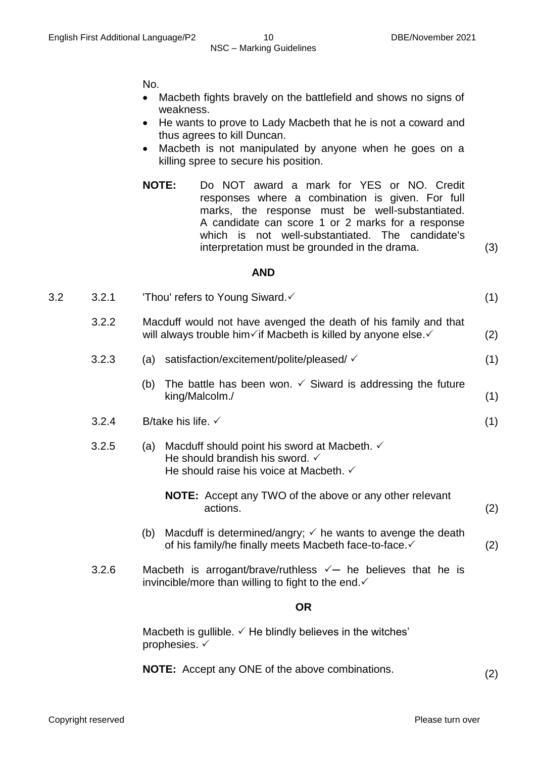No.

- Macbeth fights bravely on the battlefield and shows no signs of weakness.
- He wants to prove to Lady Macbeth that he is not a coward and thus agrees to kill Duncan.
- Macbeth is not manipulated by anyone when he goes on a killing spree to secure his position.
- **NOTE:** Do NOT award a mark for YES or NO. Credit responses where a combination is given. For full marks, the response must be well-substantiated. A candidate can score 1 or 2 marks for a response which is not well-substantiated. The candidate's interpretation must be grounded in the drama. (3)

#### **AND**

| 3.2 | Thou' refers to Young Siward. $\checkmark$ |  |
|-----|--------------------------------------------|--|
|     |                                            |  |

| 3.2.2 | Macduff would not have avenged the death of his family and that |     |
|-------|-----------------------------------------------------------------|-----|
|       | will always trouble him√if Macbeth is killed by anyone else.    | (2) |

- 3.2.3 (a) satisfaction/excitement/polite/pleased/ (1)
	- (b) The battle has been won.  $\checkmark$  Siward is addressing the future king/Malcolm./ (1)
- 3.2.4 B/take his life.  $\checkmark$  (1)
- 3.2.5 (a) Macduff should point his sword at Macbeth.  $\checkmark$ He should brandish his sword.  $\checkmark$ He should raise his voice at Macbeth.  $\checkmark$ 
	- **NOTE:** Accept any TWO of the above or any other relevant actions. (2)
	- (b) Macduff is determined/angry;  $\checkmark$  he wants to avenge the death of his family/he finally meets Macbeth face-to-face.  $\checkmark$  (2)
- 3.2.6 Macbeth is arrogant/brave/ruthless  $\checkmark$  he believes that he is invincible/more than willing to fight to the end. $\checkmark$

#### **OR**

Macbeth is gullible.  $\checkmark$  He blindly believes in the witches' prophesies.  $\checkmark$ 

**NOTE:** Accept any ONE of the above combinations. (2)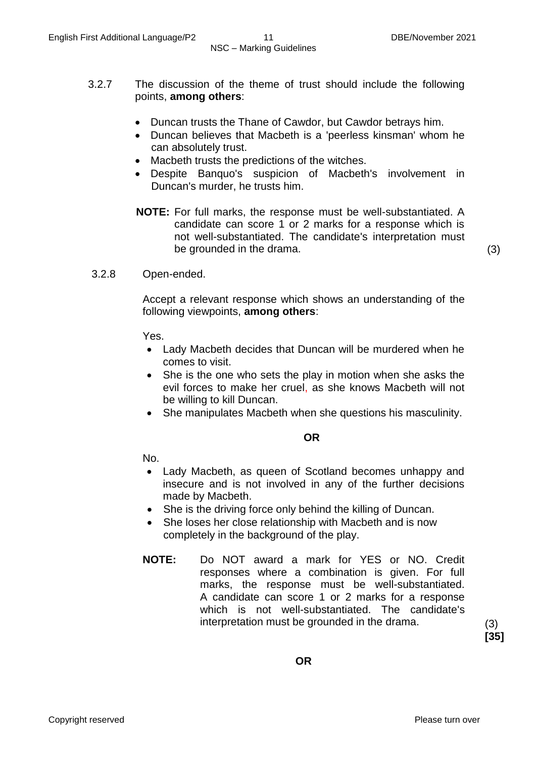- 3.2.7 The discussion of the theme of trust should include the following points, **among others**:
	- Duncan trusts the Thane of Cawdor, but Cawdor betrays him.
	- Duncan believes that Macbeth is a 'peerless kinsman' whom he can absolutely trust.
	- Macbeth trusts the predictions of the witches.
	- Despite Banquo's suspicion of Macbeth's involvement in Duncan's murder, he trusts him.
	- **NOTE:** For full marks, the response must be well-substantiated. A candidate can score 1 or 2 marks for a response which is not well-substantiated. The candidate's interpretation must be grounded in the drama. (3)

3.2.8 Open-ended.

Accept a relevant response which shows an understanding of the following viewpoints, **among others**:

Yes.

- Lady Macbeth decides that Duncan will be murdered when he comes to visit.
- She is the one who sets the play in motion when she asks the evil forces to make her cruel, as she knows Macbeth will not be willing to kill Duncan.
- She manipulates Macbeth when she questions his masculinity.

**OR**

No.

- Lady Macbeth, as queen of Scotland becomes unhappy and insecure and is not involved in any of the further decisions made by Macbeth.
- She is the driving force only behind the killing of Duncan.
- She loses her close relationship with Macbeth and is now completely in the background of the play.
- **NOTE:** Do NOT award a mark for YES or NO. Credit responses where a combination is given. For full marks, the response must be well-substantiated. A candidate can score 1 or 2 marks for a response which is not well-substantiated. The candidate's interpretation must be grounded in the drama. (3)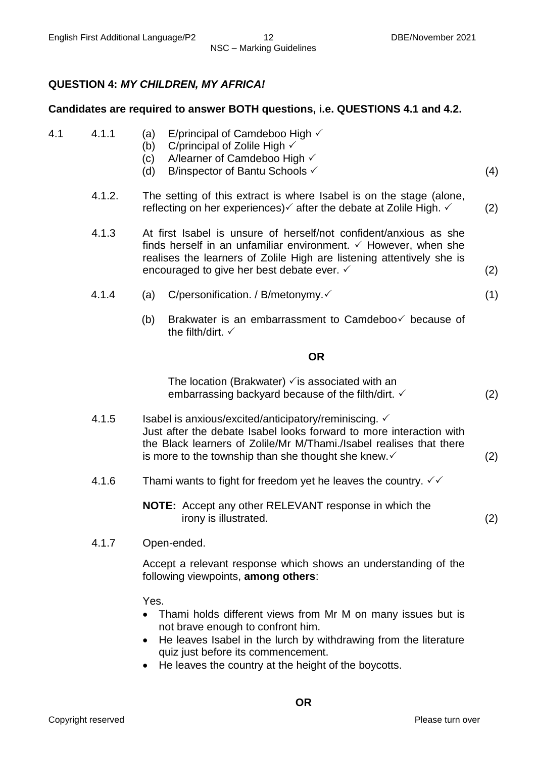### **QUESTION 4:** *MY CHILDREN, MY AFRICA!*

#### **Candidates are required to answer BOTH questions, i.e. QUESTIONS 4.1 and 4.2.**

- 4.1 4.1.1 (a) E/principal of Camdeboo High  $\checkmark$ 
	- (b) C/principal of Zolile High  $\checkmark$
	- (c) A/learner of Camdeboo High  $\checkmark$
	- (d) B/inspector of Bantu Schools (4)
	- 4.1.2. The setting of this extract is where Isabel is on the stage (alone, reflecting on her experiences)  $\checkmark$  after the debate at Zolile High.  $\checkmark$  (2)
	- 4.1.3 At first Isabel is unsure of herself/not confident/anxious as she finds herself in an unfamiliar environment.  $\checkmark$  However, when she realises the learners of Zolile High are listening attentively she is encouraged to give her best debate ever.  $\checkmark$  (2)
	- 4.1.4 (a) C/personification. / B/metonymy. (1)
		- (b) Brakwater is an embarrassment to Camdeboo $\checkmark$  because of the filth/dirt.  $\checkmark$

#### **OR**

| The location (Brakwater) $\checkmark$ is associated with an |     |
|-------------------------------------------------------------|-----|
| embarrassing backyard because of the filth/dirt. ✓          | (2) |

- 4.1.5 Isabel is anxious/excited/anticipatory/reminiscing.  $\checkmark$ Just after the debate Isabel looks forward to more interaction with the Black learners of Zolile/Mr M/Thami./Isabel realises that there is more to the township than she thought she knew.  $\checkmark$  (2)
- 4.1.6 Thami wants to fight for freedom yet he leaves the country.  $\sqrt{6}$

**NOTE:** Accept any other RELEVANT response in which the irony is illustrated. (2)

4.1.7 Open-ended.

Accept a relevant response which shows an understanding of the following viewpoints, **among others**:

Yes.

- Thami holds different views from Mr M on many issues but is not brave enough to confront him.
- He leaves Isabel in the lurch by withdrawing from the literature quiz just before its commencement.
- He leaves the country at the height of the boycotts.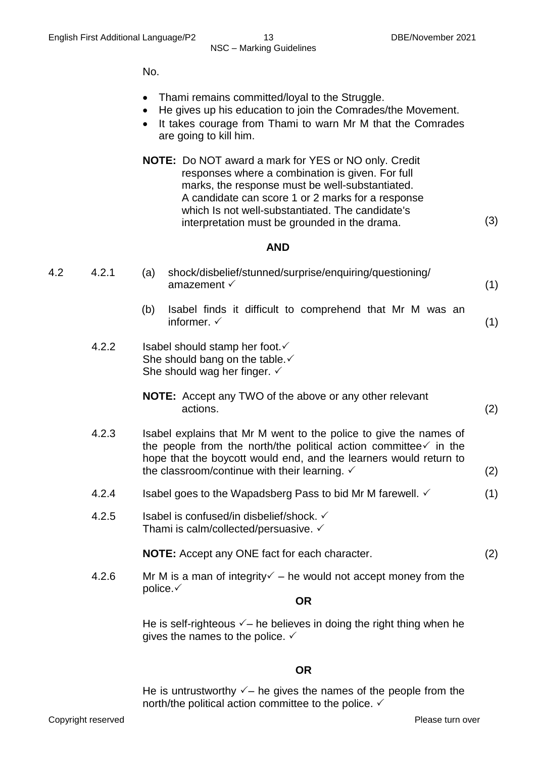(3)

No.

- Thami remains committed/loyal to the Struggle.
- He gives up his education to join the Comrades/the Movement.
- It takes courage from Thami to warn Mr M that the Comrades are going to kill him.
- **NOTE:** Do NOT award a mark for YES or NO only. Credit responses where a combination is given. For full marks, the response must be well-substantiated. A candidate can score 1 or 2 marks for a response which Is not well-substantiated. The candidate's interpretation must be grounded in the drama.

#### **AND**

| 4.2 | 4.2.1 | shock/disbelief/stunned/surprise/enquiring/questioning/<br>(a)<br>amazement $\checkmark$<br>(1)                                                                                                                                                                                           |  |
|-----|-------|-------------------------------------------------------------------------------------------------------------------------------------------------------------------------------------------------------------------------------------------------------------------------------------------|--|
|     |       | Isabel finds it difficult to comprehend that Mr M was an<br>(b)<br>informer. $\checkmark$<br>(1)                                                                                                                                                                                          |  |
|     | 4.2.2 | Isabel should stamp her foot. ✓<br>She should bang on the table. ✓<br>She should wag her finger. $\checkmark$                                                                                                                                                                             |  |
|     |       | <b>NOTE:</b> Accept any TWO of the above or any other relevant<br>actions.<br>(2)                                                                                                                                                                                                         |  |
|     | 4.2.3 | Isabel explains that Mr M went to the police to give the names of<br>the people from the north/the political action committee $\checkmark$ in the<br>hope that the boycott would end, and the learners would return to<br>the classroom/continue with their learning. $\checkmark$<br>(2) |  |
|     | 4.2.4 | Isabel goes to the Wapadsberg Pass to bid Mr M farewell. ✓<br>(1)                                                                                                                                                                                                                         |  |
|     | 4.2.5 | Isabel is confused/in disbelief/shock. ✓<br>Thami is calm/collected/persuasive. ✓                                                                                                                                                                                                         |  |
|     |       | <b>NOTE:</b> Accept any ONE fact for each character.<br>(2)                                                                                                                                                                                                                               |  |
|     | 4.2.6 | Mr M is a man of integrity $\checkmark$ – he would not accept money from the                                                                                                                                                                                                              |  |
|     |       | police. $\checkmark$<br><b>OR</b>                                                                                                                                                                                                                                                         |  |
|     |       | He is self-righteous $\checkmark$ – he believes in doing the right thing when he<br>gives the names to the police. $\checkmark$                                                                                                                                                           |  |
|     |       |                                                                                                                                                                                                                                                                                           |  |

#### **OR**

He is untrustworthy  $\checkmark$  – he gives the names of the people from the north/the political action committee to the police.  $\checkmark$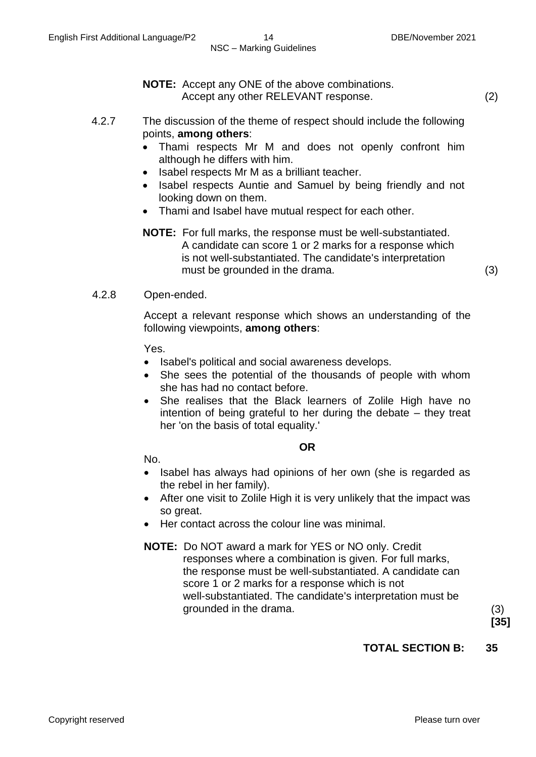**NOTE:** Accept any ONE of the above combinations.

Accept any other RELEVANT response. (2)

- 4.2.7 The discussion of the theme of respect should include the following points, **among others**:
	- Thami respects Mr M and does not openly confront him although he differs with him.
	- Isabel respects Mr M as a brilliant teacher.
	- Isabel respects Auntie and Samuel by being friendly and not looking down on them.
	- Thami and Isabel have mutual respect for each other.

#### **NOTE:** For full marks, the response must be well-substantiated. A candidate can score 1 or 2 marks for a response which is not well-substantiated. The candidate's interpretation must be grounded in the drama. (3)

#### 4.2.8 Open-ended.

Accept a relevant response which shows an understanding of the following viewpoints, **among others**:

Yes.

- Isabel's political and social awareness develops.
- She sees the potential of the thousands of people with whom she has had no contact before.
- She realises that the Black learners of Zolile High have no intention of being grateful to her during the debate – they treat her 'on the basis of total equality.'

#### **OR**

No.

- Isabel has always had opinions of her own (she is regarded as the rebel in her family).
- After one visit to Zolile High it is very unlikely that the impact was so great.
- Her contact across the colour line was minimal.

#### **NOTE:** Do NOT award a mark for YES or NO only. Credit responses where a combination is given. For full marks, the response must be well-substantiated. A candidate can score 1 or 2 marks for a response which is not well-substantiated. The candidate's interpretation must be grounded in the drama. (3)

**[35]**

#### **TOTAL SECTION B: 35**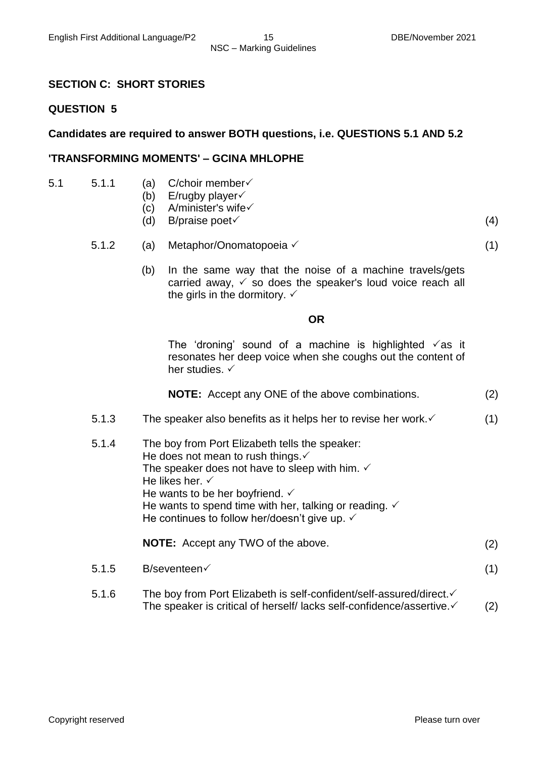#### **SECTION C: SHORT STORIES**

#### **QUESTION 5**

#### **Candidates are required to answer BOTH questions, i.e. QUESTIONS 5.1 AND 5.2**

#### **'TRANSFORMING MOMENTS' – GCINA MHLOPHE**

- 5.1 5.1.1 (a) C/choir member $\checkmark$ 
	- (b) E/rugby player $\checkmark$
	- (c) A/minister's wife√
	- (d) B/praise poet (4)
	- 5.1.2 (a) Metaphor/Onomatopoeia (1)
		- (b) In the same way that the noise of a machine travels/gets carried away,  $\checkmark$  so does the speaker's loud voice reach all the girls in the dormitory.  $\checkmark$

#### **OR**

The 'droning' sound of a machine is highlighted  $\sqrt{a}$ s it resonates her deep voice when she coughs out the content of her studies.  $\checkmark$ 

|  | <b>NOTE:</b> Accept any ONE of the above combinations. | (2) |
|--|--------------------------------------------------------|-----|
|  |                                                        |     |

- 5.1.3 The speaker also benefits as it helps her to revise her work.  $\checkmark$  (1)
- 5.1.4 The boy from Port Elizabeth tells the speaker: He does not mean to rush things. $\checkmark$ The speaker does not have to sleep with him.  $\checkmark$ He likes her.  $\checkmark$ He wants to be her boyfriend.  $\checkmark$ He wants to spend time with her, talking or reading.  $\checkmark$ He continues to follow her/doesn't give up.  $\checkmark$ **NOTE:** Accept any TWO of the above. (2)
- $5.1.5$  B/seventeen $\checkmark$  (1)
- 5.1.6 The boy from Port Elizabeth is self-confident/self-assured/direct. The speaker is critical of herself/ lacks self-confidence/assertive.  $(2)$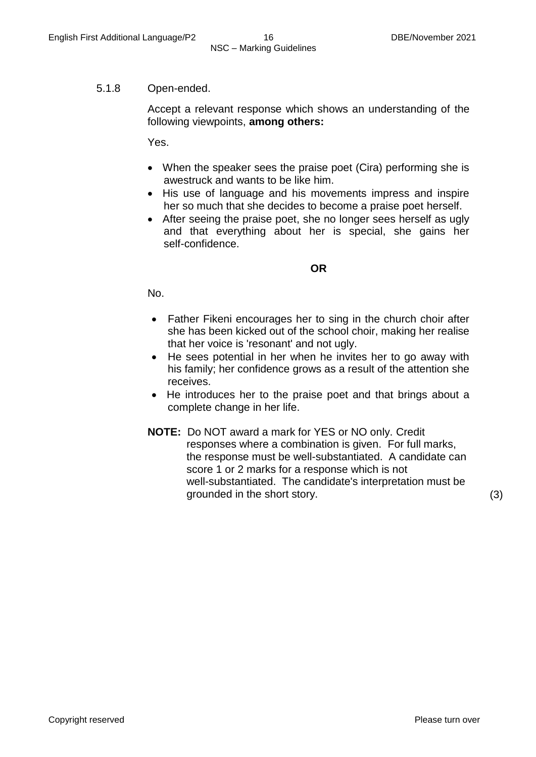#### 5.1.8 Open-ended.

Accept a relevant response which shows an understanding of the following viewpoints, **among others:**

Yes.

- When the speaker sees the praise poet (Cira) performing she is awestruck and wants to be like him.
- His use of language and his movements impress and inspire her so much that she decides to become a praise poet herself.
- After seeing the praise poet, she no longer sees herself as ugly and that everything about her is special, she gains her self-confidence.

#### **OR**

No.

- Father Fikeni encourages her to sing in the church choir after she has been kicked out of the school choir, making her realise that her voice is 'resonant' and not ugly.
- He sees potential in her when he invites her to go away with his family; her confidence grows as a result of the attention she receives.
- He introduces her to the praise poet and that brings about a complete change in her life.
- **NOTE:** Do NOT award a mark for YES or NO only. Credit responses where a combination is given. For full marks, the response must be well-substantiated. A candidate can score 1 or 2 marks for a response which is not well-substantiated. The candidate's interpretation must be grounded in the short story. (3)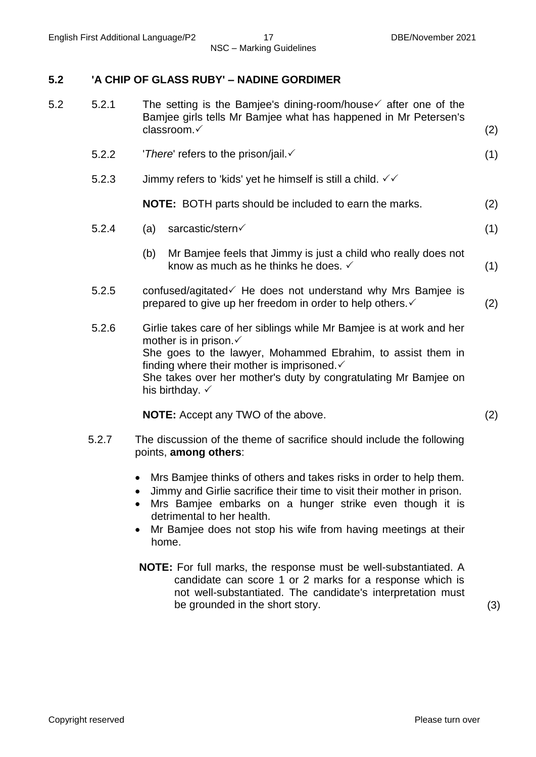#### **5.2 'A CHIP OF GLASS RUBY' – NADINE GORDIMER**

| 5.2 | 5.2.1 | The setting is the Bamjee's dining-room/house $\checkmark$ after one of the<br>Bamjee girls tells Mr Bamjee what has happened in Mr Petersen's<br>classroom.√                                                                                                                                                            | (2) |
|-----|-------|--------------------------------------------------------------------------------------------------------------------------------------------------------------------------------------------------------------------------------------------------------------------------------------------------------------------------|-----|
|     | 5.2.2 | 'There' refers to the prison/jail.                                                                                                                                                                                                                                                                                       | (1) |
|     | 5.2.3 | Jimmy refers to 'kids' yet he himself is still a child. $√$                                                                                                                                                                                                                                                              |     |
|     |       | <b>NOTE:</b> BOTH parts should be included to earn the marks.                                                                                                                                                                                                                                                            | (2) |
|     | 5.2.4 | sarcastic/stern<br>(a)                                                                                                                                                                                                                                                                                                   | (1) |
|     |       | Mr Bamjee feels that Jimmy is just a child who really does not<br>(b)<br>know as much as he thinks he does. $\checkmark$                                                                                                                                                                                                 | (1) |
|     | 5.2.5 | confused/agitated if He does not understand why Mrs Bamjee is<br>prepared to give up her freedom in order to help others. ✓                                                                                                                                                                                              | (2) |
|     | 5.2.6 | Girlie takes care of her siblings while Mr Bamjee is at work and her<br>mother is in prison. ✓<br>She goes to the lawyer, Mohammed Ebrahim, to assist them in<br>finding where their mother is imprisoned. $\checkmark$<br>She takes over her mother's duty by congratulating Mr Bamjee on<br>his birthday. $\checkmark$ |     |
|     |       | <b>NOTE:</b> Accept any TWO of the above.                                                                                                                                                                                                                                                                                | (2) |
|     | 5.2.7 | The discussion of the theme of sacrifice should include the following<br>points, among others:                                                                                                                                                                                                                           |     |
|     |       | Mrs Bamjee thinks of others and takes risks in order to help them.<br>$\bullet$                                                                                                                                                                                                                                          |     |

- Jimmy and Girlie sacrifice their time to visit their mother in prison.
- Mrs Bamjee embarks on a hunger strike even though it is detrimental to her health.
- Mr Bamjee does not stop his wife from having meetings at their home.
- **NOTE:** For full marks, the response must be well-substantiated. A candidate can score 1 or 2 marks for a response which is not well-substantiated. The candidate's interpretation must be grounded in the short story. (3)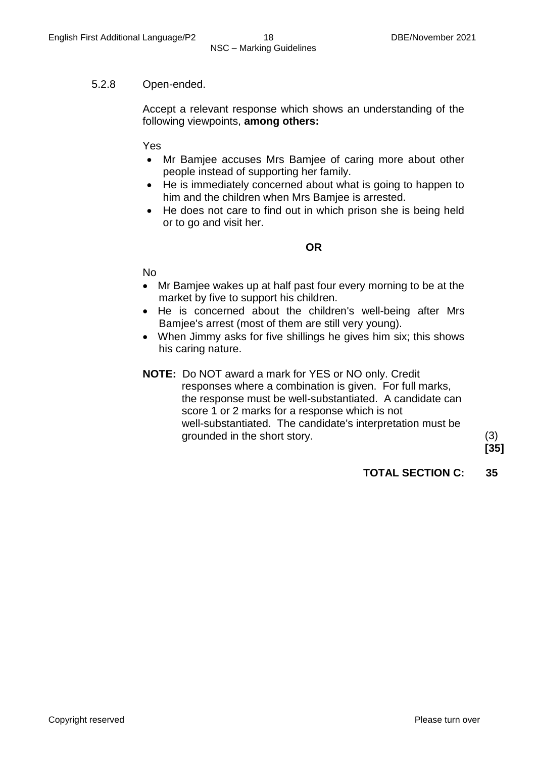#### 5.2.8 Open-ended.

Accept a relevant response which shows an understanding of the following viewpoints, **among others:**

Yes

- Mr Bamjee accuses Mrs Bamjee of caring more about other people instead of supporting her family.
- He is immediately concerned about what is going to happen to him and the children when Mrs Bamjee is arrested.
- He does not care to find out in which prison she is being held or to go and visit her.

#### **OR**

No

- Mr Bamjee wakes up at half past four every morning to be at the market by five to support his children.
- He is concerned about the children's well-being after Mrs Bamjee's arrest (most of them are still very young).
- When Jimmy asks for five shillings he gives him six; this shows his caring nature.

#### **NOTE:** Do NOT award a mark for YES or NO only. Credit

 responses where a combination is given. For full marks, the response must be well-substantiated. A candidate can score 1 or 2 marks for a response which is not well-substantiated. The candidate's interpretation must be grounded in the short story. (3)

**[35]**

**TOTAL SECTION C: 35**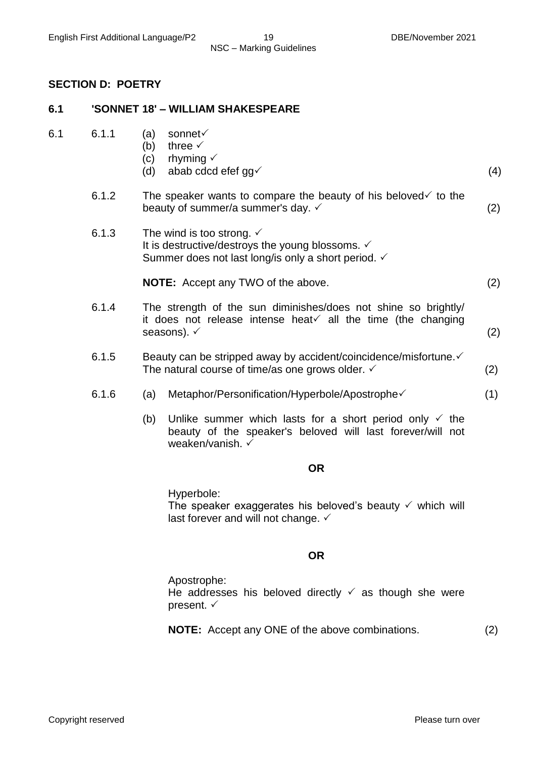#### **SECTION D: POETRY**

#### **6.1 'SONNET 18' – WILLIAM SHAKESPEARE**

| 6.1 | 6.1.1 |  | (a) sonnet $\checkmark$ |
|-----|-------|--|-------------------------|
|-----|-------|--|-------------------------|

- (b) three  $\checkmark$
- (c) rhyming  $\checkmark$
- (d) abab cdcd efef gg $\checkmark$  (4)
- 6.1.2 The speaker wants to compare the beauty of his beloved to the beauty of summer/a summer's day.  $\checkmark$  (2)
- 6.1.3 The wind is too strong.  $\checkmark$ It is destructive/destroys the young blossoms.  $\checkmark$ Summer does not last long/is only a short period.  $\checkmark$

**NOTE:** Accept any TWO of the above. (2)

- 6.1.4 The strength of the sun diminishes/does not shine so brightly/ it does not release intense heat all the time (the changing seasons).  $\checkmark$  (2)
- 6.1.5 Beauty can be stripped away by accident/coincidence/misfortune. $\checkmark$ The natural course of time/as one grows older.  $\checkmark$  (2)
- 6.1.6 (a) Metaphor/Personification/Hyperbole/Apostrophe (1)
	- (b) Unlike summer which lasts for a short period only  $\checkmark$  the beauty of the speaker's beloved will last forever/will not weaken/vanish.

#### **OR**

Hyperbole: The speaker exaggerates his beloved's beauty  $\checkmark$  which will last forever and will not change.  $\checkmark$ 

#### **OR**

Apostrophe: He addresses his beloved directly  $\checkmark$  as though she were present.  $\checkmark$ 

**NOTE:** Accept any ONE of the above combinations. (2)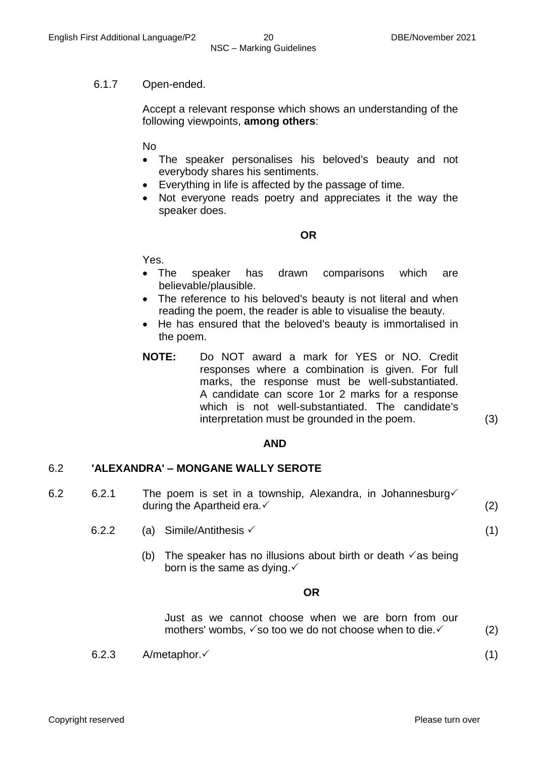#### 6.1.7 Open-ended.

Accept a relevant response which shows an understanding of the following viewpoints, **among others**:

No

- The speaker personalises his beloved's beauty and not everybody shares his sentiments.
- Everything in life is affected by the passage of time.
- Not everyone reads poetry and appreciates it the way the speaker does.

#### **OR**

Yes.

- The speaker has drawn comparisons which are believable/plausible.
- The reference to his beloved's beauty is not literal and when reading the poem, the reader is able to visualise the beauty.
- He has ensured that the beloved's beauty is immortalised in the poem.
- **NOTE:** Do NOT award a mark for YES or NO. Credit responses where a combination is given. For full marks, the response must be well-substantiated. A candidate can score 1or 2 marks for a response which is not well-substantiated. The candidate's interpretation must be grounded in the poem. (3)

#### **AND**

#### 6.2 **'ALEXANDRA' – MONGANE WALLY SEROTE**

- 6.2 6.2.1 The poem is set in a township, Alexandra, in Johannesburg $\checkmark$ during the Apartheid era.  $(2)$ 
	- 6.2.2 (a) Simile/Antithesis  $(1)$ 
		- (b) The speaker has no illusions about birth or death  $\checkmark$  as being born is the same as dying. $\checkmark$

#### **OR**

Just as we cannot choose when we are born from our mothers' wombs,  $\checkmark$  so too we do not choose when to die.  $\checkmark$  (2)

 $6.2.3$  A/metaphor. (1)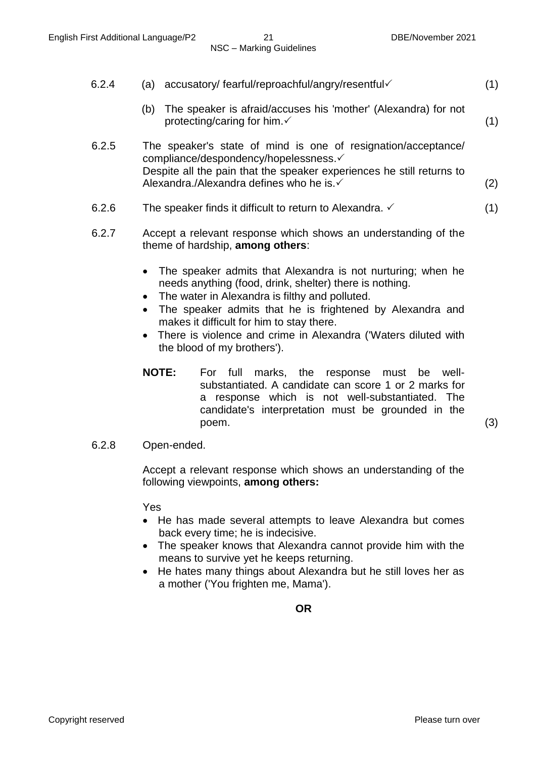| 6.2.4 | accusatory/ fearful/reproachful/angry/resentful<br>(a)                                                                                                                                                                      | (1) |
|-------|-----------------------------------------------------------------------------------------------------------------------------------------------------------------------------------------------------------------------------|-----|
|       | The speaker is afraid/accuses his 'mother' (Alexandra) for not<br>(b)<br>protecting/caring for him. ✓                                                                                                                       | (1) |
| 6.2.5 | The speaker's state of mind is one of resignation/acceptance/<br>compliance/despondency/hopelessness.√<br>Despite all the pain that the speaker experiences he still returns to<br>Alexandra./Alexandra defines who he is.√ |     |
|       |                                                                                                                                                                                                                             | (2) |
| 6.2.6 | The speaker finds it difficult to return to Alexandra. $\checkmark$                                                                                                                                                         |     |

- 6.2.7 Accept a relevant response which shows an understanding of the theme of hardship, **among others**:
	- The speaker admits that Alexandra is not nurturing; when he needs anything (food, drink, shelter) there is nothing.
	- The water in Alexandra is filthy and polluted.
	- The speaker admits that he is frightened by Alexandra and makes it difficult for him to stay there.
	- There is violence and crime in Alexandra ('Waters diluted with the blood of my brothers').
	- **NOTE:** For full marks, the response must be wellsubstantiated. A candidate can score 1 or 2 marks for a response which is not well-substantiated. The candidate's interpretation must be grounded in the poem. (3)

6.2.8 Open-ended.

Accept a relevant response which shows an understanding of the following viewpoints, **among others:**

Yes

- He has made several attempts to leave Alexandra but comes back every time; he is indecisive.
- The speaker knows that Alexandra cannot provide him with the means to survive yet he keeps returning.
- He hates many things about Alexandra but he still loves her as a mother ('You frighten me, Mama').

**OR**